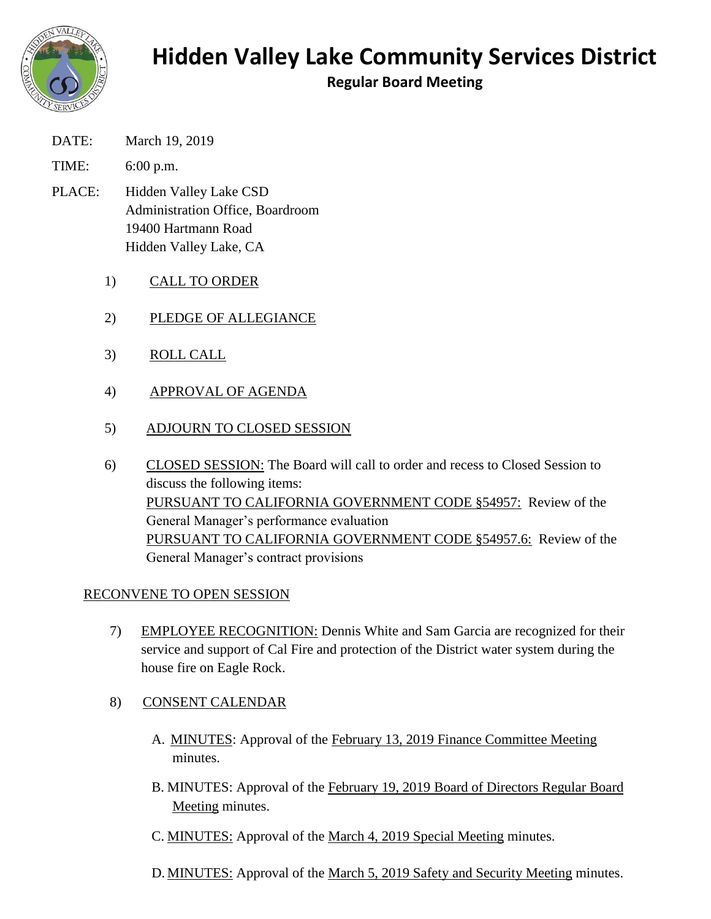

# **Hidden Valley Lake Community Services District**

**Regular Board Meeting**

- DATE: March 19, 2019
- TIME: 6:00 p.m.
- PLACE: Hidden Valley Lake CSD Administration Office, Boardroom 19400 Hartmann Road Hidden Valley Lake, CA
	- 1) CALL TO ORDER
	- 2) PLEDGE OF ALLEGIANCE
	- 3) ROLL CALL
	- 4) APPROVAL OF AGENDA
	- 5) ADJOURN TO CLOSED SESSION
	- 6) CLOSED SESSION: The Board will call to order and recess to Closed Session to discuss the following items: PURSUANT TO CALIFORNIA GOVERNMENT CODE §54957: Review of the General Manager's performance evaluation PURSUANT TO CALIFORNIA GOVERNMENT CODE §54957.6: Review of the General Manager's contract provisions

## RECONVENE TO OPEN SESSION

- 7) EMPLOYEE RECOGNITION: Dennis White and Sam Garcia are recognized for their service and support of Cal Fire and protection of the District water system during the house fire on Eagle Rock.
- 8) CONSENT CALENDAR
	- A. MINUTES: Approval of the February 13, 2019 Finance Committee Meeting minutes.
	- B. MINUTES: Approval of the February 19, 2019 Board of Directors Regular Board Meeting minutes.
	- C. MINUTES: Approval of the March 4, 2019 Special Meeting minutes.
	- D. MINUTES: Approval of the March 5, 2019 Safety and Security Meeting minutes.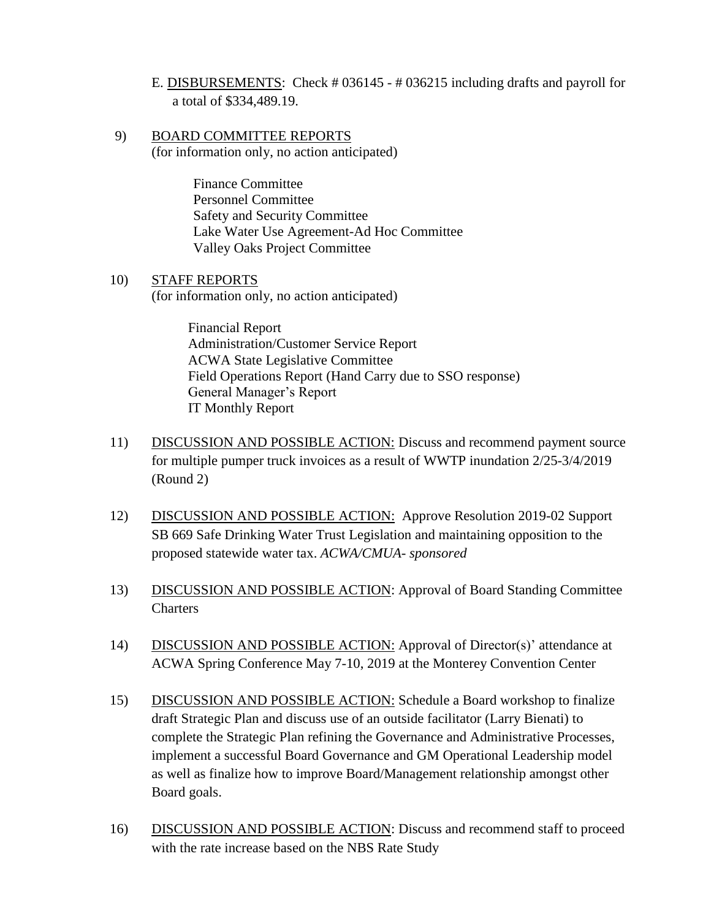- E. DISBURSEMENTS: Check # 036145 # 036215 including drafts and payroll for a total of \$334,489.19.
- 9) BOARD COMMITTEE REPORTS (for information only, no action anticipated)

Finance Committee Personnel Committee Safety and Security Committee Lake Water Use Agreement-Ad Hoc Committee Valley Oaks Project Committee

10) STAFF REPORTS (for information only, no action anticipated)

> Financial Report Administration/Customer Service Report ACWA State Legislative Committee Field Operations Report (Hand Carry due to SSO response) General Manager's Report IT Monthly Report

- 11) DISCUSSION AND POSSIBLE ACTION: Discuss and recommend payment source for multiple pumper truck invoices as a result of WWTP inundation 2/25-3/4/2019 (Round 2)
- 12) DISCUSSION AND POSSIBLE ACTION: Approve Resolution 2019-02 Support SB 669 Safe Drinking Water Trust Legislation and maintaining opposition to the proposed statewide water tax. *ACWA/CMUA- sponsored*
- 13) DISCUSSION AND POSSIBLE ACTION: Approval of Board Standing Committee **Charters**
- 14) DISCUSSION AND POSSIBLE ACTION: Approval of Director(s)' attendance at ACWA Spring Conference May 7-10, 2019 at the Monterey Convention Center
- 15) DISCUSSION AND POSSIBLE ACTION: Schedule a Board workshop to finalize draft Strategic Plan and discuss use of an outside facilitator (Larry Bienati) to complete the Strategic Plan refining the Governance and Administrative Processes, implement a successful Board Governance and GM Operational Leadership model as well as finalize how to improve Board/Management relationship amongst other Board goals.
- 16) DISCUSSION AND POSSIBLE ACTION: Discuss and recommend staff to proceed with the rate increase based on the NBS Rate Study